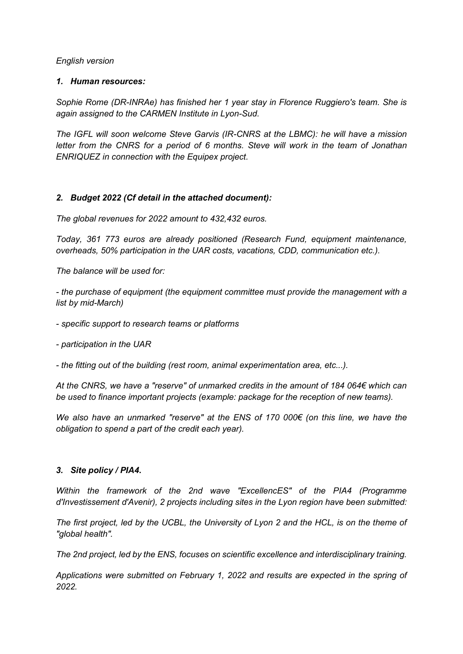*English version*

#### *1. Human resources:*

*Sophie Rome (DR-INRAe) has finished her 1 year stay in Florence Ruggiero's team. She is again assigned to the CARMEN Institute in Lyon-Sud.*

*The IGFL will soon welcome Steve Garvis (IR-CNRS at the LBMC): he will have a mission letter from the CNRS for a period of 6 months. Steve will work in the team of Jonathan ENRIQUEZ in connection with the Equipex project.*

# *2. Budget 2022 (Cf detail in the attached document):*

*The global revenues for 2022 amount to 432,432 euros.*

*Today, 361 773 euros are already positioned (Research Fund, equipment maintenance, overheads, 50% participation in the UAR costs, vacations, CDD, communication etc.).*

*The balance will be used for:*

*- the purchase of equipment (the equipment committee must provide the management with a list by mid-March)*

*- specific support to research teams or platforms*

*- participation in the UAR*

*- the fitting out of the building (rest room, animal experimentation area, etc...).*

*At the CNRS, we have a "reserve" of unmarked credits in the amount of 184 064€ which can be used to finance important projects (example: package for the reception of new teams).*

*We also have an unmarked "reserve" at the ENS of 170 000€ (on this line, we have the obligation to spend a part of the credit each year).*

#### *3. Site policy / PIA4.*

*Within the framework of the 2nd wave "ExcellencES" of the PIA4 (Programme d'Investissement d'Avenir), 2 projects including sites in the Lyon region have been submitted:*

*The first project, led by the UCBL, the University of Lyon 2 and the HCL, is on the theme of "global health".* 

*The 2nd project, led by the ENS, focuses on scientific excellence and interdisciplinary training.*

*Applications were submitted on February 1, 2022 and results are expected in the spring of 2022.*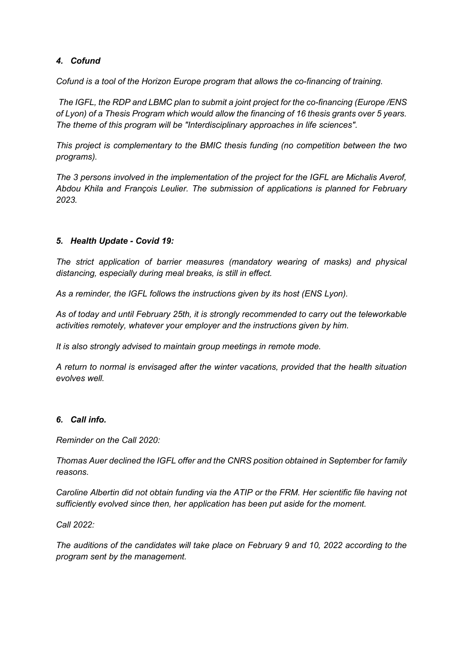# *4. Cofund*

*Cofund is a tool of the Horizon Europe program that allows the co-financing of training.*

*The IGFL, the RDP and LBMC plan to submit a joint project for the co-financing (Europe /ENS of Lyon) of a Thesis Program which would allow the financing of 16 thesis grants over 5 years. The theme of this program will be "Interdisciplinary approaches in life sciences".*

*This project is complementary to the BMIC thesis funding (no competition between the two programs).*

*The 3 persons involved in the implementation of the project for the IGFL are Michalis Averof, Abdou Khila and François Leulier. The submission of applications is planned for February 2023.*

# *5. Health Update - Covid 19:*

*The strict application of barrier measures (mandatory wearing of masks) and physical distancing, especially during meal breaks, is still in effect.*

*As a reminder, the IGFL follows the instructions given by its host (ENS Lyon).*

*As of today and until February 25th, it is strongly recommended to carry out the teleworkable activities remotely, whatever your employer and the instructions given by him.*

*It is also strongly advised to maintain group meetings in remote mode.*

*A return to normal is envisaged after the winter vacations, provided that the health situation evolves well.*

### *6. Call info.*

*Reminder on the Call 2020:*

*Thomas Auer declined the IGFL offer and the CNRS position obtained in September for family reasons.*

*Caroline Albertin did not obtain funding via the ATIP or the FRM. Her scientific file having not sufficiently evolved since then, her application has been put aside for the moment.*

*Call 2022:*

*The auditions of the candidates will take place on February 9 and 10, 2022 according to the program sent by the management.*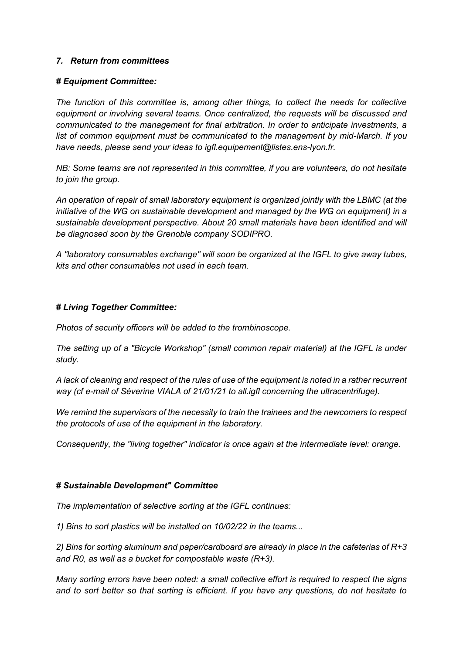#### *7. Return from committees*

#### *# Equipment Committee:*

*The function of this committee is, among other things, to collect the needs for collective equipment or involving several teams. Once centralized, the requests will be discussed and communicated to the management for final arbitration. In order to anticipate investments, a list of common equipment must be communicated to the management by mid-March. If you have needs, please send your ideas to igfl.equipement@listes.ens-lyon.fr.* 

*NB: Some teams are not represented in this committee, if you are volunteers, do not hesitate to join the group.*

*An operation of repair of small laboratory equipment is organized jointly with the LBMC (at the initiative of the WG on sustainable development and managed by the WG on equipment) in a sustainable development perspective. About 20 small materials have been identified and will be diagnosed soon by the Grenoble company SODIPRO.*

*A "laboratory consumables exchange" will soon be organized at the IGFL to give away tubes, kits and other consumables not used in each team.*

#### *# Living Together Committee:*

*Photos of security officers will be added to the trombinoscope.*

*The setting up of a "Bicycle Workshop" (small common repair material) at the IGFL is under study.*

*A lack of cleaning and respect of the rules of use of the equipment is noted in a rather recurrent way (cf e-mail of Séverine VIALA of 21/01/21 to all.igfl concerning the ultracentrifuge).* 

*We remind the supervisors of the necessity to train the trainees and the newcomers to respect the protocols of use of the equipment in the laboratory.*

*Consequently, the "living together" indicator is once again at the intermediate level: orange.*

#### *# Sustainable Development" Committee*

*The implementation of selective sorting at the IGFL continues:* 

*1) Bins to sort plastics will be installed on 10/02/22 in the teams...*

*2) Bins for sorting aluminum and paper/cardboard are already in place in the cafeterias of R+3 and R0, as well as a bucket for compostable waste (R+3).*

*Many sorting errors have been noted: a small collective effort is required to respect the signs and to sort better so that sorting is efficient. If you have any questions, do not hesitate to*